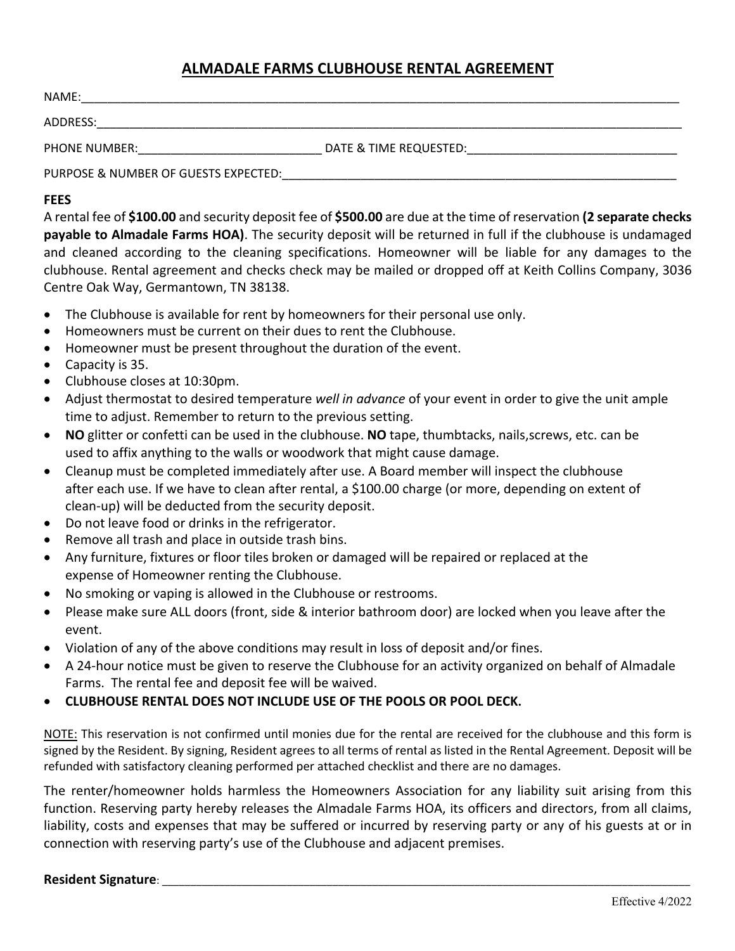# **ALMADALE FARMS CLUBHOUSE RENTAL AGREEMENT**

| NAME:                                |                        |
|--------------------------------------|------------------------|
| ADDRESS:                             |                        |
| <b>PHONE NUMBER:</b>                 | DATE & TIME REQUESTED: |
| PURPOSE & NUMBER OF GUESTS EXPECTED: |                        |

## **FEES**

A rental fee of **\$100.00** and security deposit fee of **\$500.00** are due at the time of reservation **(2 separate checks payable to Almadale Farms HOA)**. The security deposit will be returned in full if the clubhouse is undamaged and cleaned according to the cleaning specifications. Homeowner will be liable for any damages to the clubhouse. Rental agreement and checks check may be mailed or dropped off at Keith Collins Company, 3036 Centre Oak Way, Germantown, TN 38138.

- The Clubhouse is available for rent by homeowners for their personal use only.
- Homeowners must be current on their dues to rent the Clubhouse.
- Homeowner must be present throughout the duration of the event.
- Capacity is 35.
- Clubhouse closes at 10:30pm.
- Adjust thermostat to desired temperature *well in advance* of your event in order to give the unit ample time to adjust. Remember to return to the previous setting.
- **NO** glitter or confetti can be used in the clubhouse. **NO** tape, thumbtacks, nails,screws, etc. can be used to affix anything to the walls or woodwork that might cause damage.
- Cleanup must be completed immediately after use. A Board member will inspect the clubhouse after each use. If we have to clean after rental, a \$100.00 charge (or more, depending on extent of clean-up) will be deducted from the security deposit.
- Do not leave food or drinks in the refrigerator.
- Remove all trash and place in outside trash bins.
- Any furniture, fixtures or floor tiles broken or damaged will be repaired or replaced at the expense of Homeowner renting the Clubhouse.
- No smoking or vaping is allowed in the Clubhouse or restrooms.
- Please make sure ALL doors (front, side & interior bathroom door) are locked when you leave after the event.
- Violation of any of the above conditions may result in loss of deposit and/or fines.
- A 24-hour notice must be given to reserve the Clubhouse for an activity organized on behalf of Almadale Farms. The rental fee and deposit fee will be waived.
- **CLUBHOUSE RENTAL DOES NOT INCLUDE USE OF THE POOLS OR POOL DECK.**

NOTE: This reservation is not confirmed until monies due for the rental are received for the clubhouse and this form is signed by the Resident. By signing, Resident agrees to all terms of rental as listed in the Rental Agreement. Deposit will be refunded with satisfactory cleaning performed per attached checklist and there are no damages.

The renter/homeowner holds harmless the Homeowners Association for any liability suit arising from this function. Reserving party hereby releases the Almadale Farms HOA, its officers and directors, from all claims, liability, costs and expenses that may be suffered or incurred by reserving party or any of his guests at or in connection with reserving party's use of the Clubhouse and adjacent premises.

### **Resident Signature:**